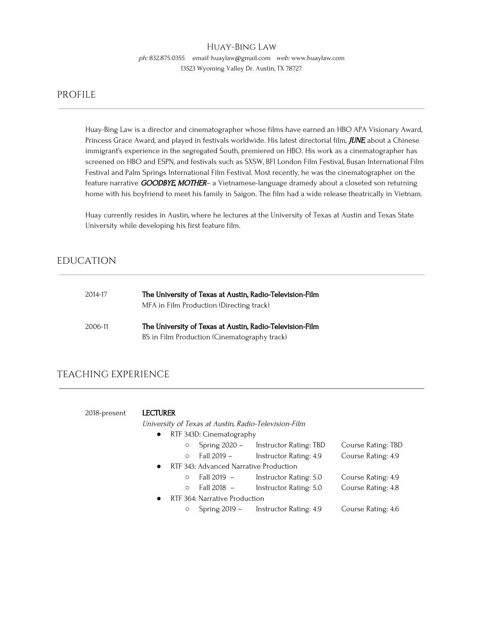# Huay-Bing Law

ph: 832.875.0355 email: huaylaw@gmail.com web: www.huaylaw.com 13523 Wyoming Valley Dr. Austin, TX 78727

# PROFILE

Huay-Bing Law is a director and cinematographer whose films have earned an HBO APA Visionary Award, Princess Grace Award, and played in festivals worldwide. His latest directorial film, JUNE about a Chinese immigrant's experience in the segregated South, premiered on HBO. His work as a cinematographer has screened on HBO and ESPN, and festivals such as SXSW, BFI London Film Festival, Busan International Film Festival and Palm Springs International Film Festival. Most recently, he was the cinematographer on the feature narrative GOODBYE, MOTHER- a Vietnamese-language dramedy about a closeted son returning home with his boyfriend to meet his family in Saigon. The film had a wide release theatrically in Vietnam.

Huay currently resides in Austin, where he lectures at the University of Texas at Austin and Texas State University while developing his first feature film.

# EDUCATION

| 2014-17 | The University of Texas at Austin, Radio-Television-Film |
|---------|----------------------------------------------------------|
|         | MFA in Film Production (Directing track)                 |
| 2006-11 | The University of Texas at Austin, Radio-Television-Film |
|         | BS in Film Production (Cinematography track)             |

# TEACHING EXPERIENCE

2018-present LECTURER University of Texas at Austin, Radio-Television-Film

| $\bullet$ | RTF 343D: Cinematography               |                        |                    |
|-----------|----------------------------------------|------------------------|--------------------|
|           | Spring $2020 -$<br>$\circ$             | Instructor Rating: TBD | Course Rating: TBD |
|           | Fall 2019 –<br>$\circ$                 | Instructor Rating: 4.9 | Course Rating: 4.9 |
| $\bullet$ | RTF 343: Advanced Narrative Production |                        |                    |
|           | Fall 2019 -<br>$\circ$                 | Instructor Rating: 5.0 | Course Rating: 4.9 |
|           | Fall 2018 –<br>$\circ$                 | Instructor Rating: 5.0 | Course Rating: 4.8 |
| $\bullet$ | RTF 364: Narrative Production          |                        |                    |
|           |                                        |                        |                    |

○ Spring 2019 – Instructor Rating: 4.9 Course Rating: 4.6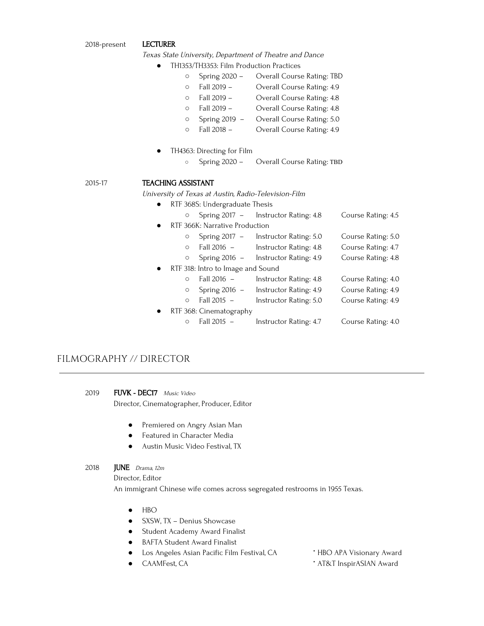#### 2018-present LECTURER

Texas State University, Department of Theatre and Dance

- TH1353/TH3353: Film Production Practices
	- Spring 2020 Overall Course Rating: TBD
	- Fall 2019 Overall Course Rating: 4.9
	- Fall 2019 Overall Course Rating: 4.8
	- Fall 2019 Overall Course Rating: 4.8
	- Spring 2019 Overall Course Rating: 5.0
	- Fall 2018 Overall Course Rating: 4.9
- TH4363: Directing for Film
	- Spring 2020 Overall Course Rating: TBD

# 2015-17 TEACHING ASSISTANT

University of Texas at Austin, Radio-Television-Film

● RTF 368S: Undergraduate Thesis

|           | $\circ$  |                                   | Spring 2017 - Instructor Rating: 4.8 | Course Rating: 4.5 |
|-----------|----------|-----------------------------------|--------------------------------------|--------------------|
| $\bullet$ |          | RTF 366K: Narrative Production    |                                      |                    |
|           | $\circ$  | Spring $2017 -$                   | Instructor Rating: 5.0               | Course Rating: 5.0 |
|           | $\circ$  | Fall 2016 –                       | Instructor Rating: 4.8               | Course Rating: 4.7 |
|           | O        | Spring $2016 -$                   | Instructor Rating: 4.9               | Course Rating: 4.8 |
| $\bullet$ |          | RTF 318: Intro to Image and Sound |                                      |                    |
|           | $\Omega$ | Fall 2016 -                       | Instructor Rating: 4.8               | Course Rating: 4.0 |
|           | $\circ$  | Spring $2016 -$                   | Instructor Rating: 4.9               | Course Rating: 4.9 |
|           | $\circ$  | Fall $2015 -$                     | Instructor Rating: 5.0               | Course Rating: 4.9 |
| $\bullet$ |          | RTF 368: Cinematography           |                                      |                    |
|           | O        | Fall 2015 -                       | Instructor Rating: 4.7               | Course Rating: 4.0 |

# FILMOGRAPHY // DIRECTOR

2019 FUVK - DEC17 Music Video Director, Cinematographer, Producer, Editor

- Premiered on Angry Asian Man
- Featured in Character Media
- Austin Music Video Festival, TX
- 2018 **JUNE** Drama, 12m

Director, Editor

An immigrant Chinese wife comes across segregated restrooms in 1955 Texas.

- HBO
- SXSW, TX Denius Showcase
- Student Academy Award Finalist
- BAFTA Student Award Finalist
- Los Angeles Asian Pacific Film Festival, CA \* HBO APA Visionary Award
	-
- 
- CAAMFest, CA  $*$  AT&T InspirASIAN Award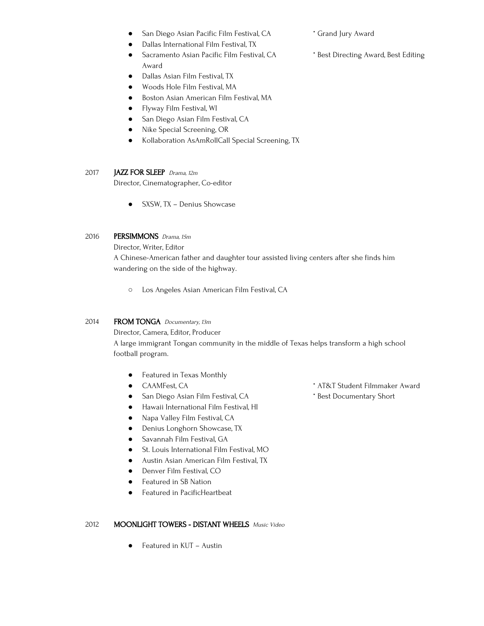- San Diego Asian Pacific Film Festival, CA \* Grand Jury Award
- Dallas International Film Festival, TX
- Sacramento Asian Pacific Film Festival, CA **\*** Best Directing Award, Best Editing Award
- Dallas Asian Film Festival, TX
- Woods Hole Film Festival, MA
- Boston Asian American Film Festival, MA
- Flyway Film Festival, WI
- San Diego Asian Film Festival, CA
- Nike Special Screening, OR
- Kollaboration AsAmRollCall Special Screening, TX

# 2017 **JAZZ FOR SLEEP** Drama, 12m

Director, Cinematographer, Co-editor

● SXSW, TX – Denius Showcase

# 2016 **PERSIMMONS** Drama, 15m

Director, Writer, Editor

A Chinese-American father and daughter tour assisted living centers after she finds him wandering on the side of the highway.

○ Los Angeles Asian American Film Festival, CA

# 2014 FROM TONGA Documentary, 13m

Director, Camera, Editor, Producer

A large immigrant Tongan community in the middle of Texas helps transform a high school football program.

- Featured in Texas Monthly
- 
- San Diego Asian Film Festival, CA  $\bullet$  \* Best Documentary Short
- Hawaii International Film Festival, HI
- Napa Valley Film Festival, CA
- Denius Longhorn Showcase, TX
- Savannah Film Festival, GA
- St. Louis International Film Festival, MO
- Austin Asian American Film Festival, TX
- **•** Denver Film Festival, CO
- Featured in SB Nation
- Featured in PacificHeartbeat

# 2012 MOONLIGHT TOWERS - DISTANT WHEELS Music Video

● Featured in KUT – Austin

- CAAMFest, CA \* AT&T Student Filmmaker Award
	-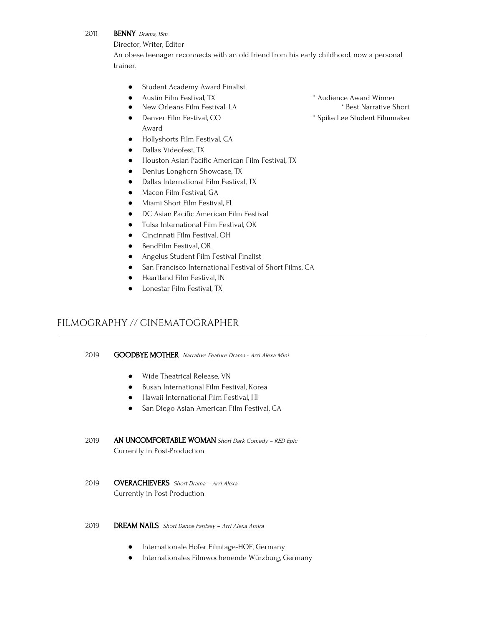# 2011 **BENNY** Drama, 15m

Director, Writer, Editor

An obese teenager reconnects with an old friend from his early childhood, now a personal trainer.

- Student Academy Award Finalist
- Austin Film Festival, TX \* \* Audience Award Winner
- New Orleans Film Festival, LA  $\qquad$  \* Best Narrative Short
- Denver Film Festival, CO \* Spike Lee Student Filmmaker Award
- Hollyshorts Film Festival, CA
- Dallas Videofest, TX
- Houston Asian Pacific American Film Festival, TX
- Denius Longhorn Showcase, TX
- Dallas International Film Festival, TX
- Macon Film Festival, GA
- Miami Short Film Festival, FL
- DC Asian Pacific American Film Festival
- Tulsa International Film Festival, OK
- Cincinnati Film Festival, OH
- BendFilm Festival, OR
- Angelus Student Film Festival Finalist
- San Francisco International Festival of Short Films, CA
- Heartland Film Festival, IN
- Lonestar Film Festival, TX

# FILMOGRAPHY // CINEMATOGRAPHER

# 2019 **GOODBYE MOTHER** Narrative Feature Drama - Arri Alexa Mini

- Wide Theatrical Release, VN
- Busan International Film Festival, Korea
- Hawaii International Film Festival, HI
- San Diego Asian American Film Festival, CA
- 2019 AN UNCOMFORTABLE WOMAN Short Dark Comedy RED Epic Currently in Post-Production
- 2019 **OVERACHIEVERS** Short Drama Arri Alexa Currently in Post-Production
- 2019 **DREAM NAILS** Short Dance Fantasy Arri Alexa Amira
	- Internationale Hofer Filmtage-HOF, Germany
	- Internationales Filmwochenende Würzburg, Germany
- -
-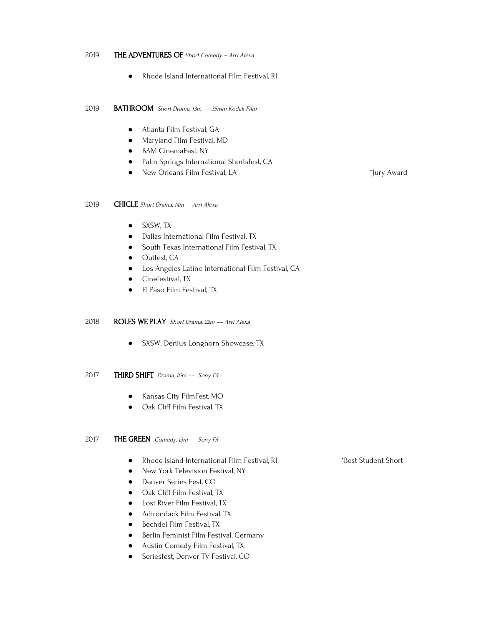#### 2019 THE ADVENTURES OF Short Comedy - Arri Alexa

● Rhode Island International Film Festival, RI

2019 BATHROOM Short Drama, 13m –– 35mm Kodak Film

- Atlanta Film Festival, GA
- Maryland Film Festival, MD
- BAM CinemaFest, NY
- Palm Springs International Shortsfest, CA
- New Orleans Film Festival, LA \*Jury Award

## 2019 CHICLE Short Drama, 14m – Arri Alexa

- SXSW, TX
- Dallas International Film Festival, TX
- South Texas International Film Festival, TX
- Outfest, CA
- Los Angeles Latino International Film Festival, CA
- Cinefestival, TX
- El Paso Film Festival, TX

## 2018 ROLES WE PLAY Short Drama, 22m –– Arri Alexa

- SXSW: Denius Longhorn Showcase, TX
- 2017 THIRD SHIFT Drama, 16m -- Sony F5
	- Kansas City FilmFest, MO
	- Oak Cliff Film Festival, TX

## 2017 THE GREEN Comedy, 13m -- Sony F5

- Rhode Island International Film Festival, RI \*Best Student Short
- New York Television Festival, NY
- Denver Series Fest, CO
- Oak Cliff Film Festival, TX
- Lost River Film Festival, TX
- Adirondack Film Festival, TX
- Bechdel Film Festival, TX
- Berlin Feminist Film Festival, Germany
- Austin Comedy Film Festival, TX
- **•** Seriesfest, Denver TV Festival, CO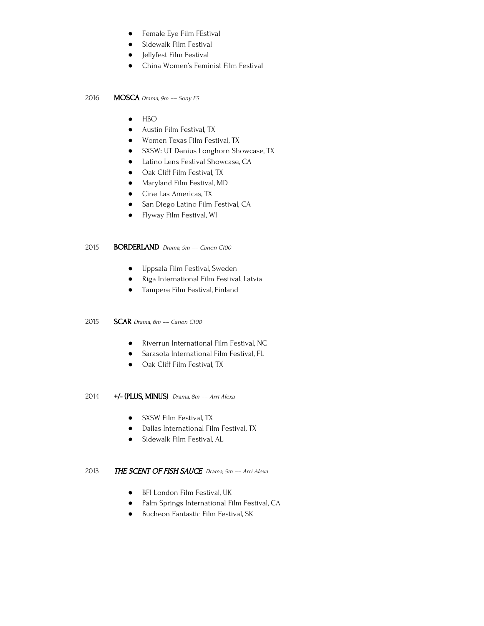- **•** Female Eye Film FEstival
- **•** Sidewalk Film Festival
- Jellyfest Film Festival
- China Women's Feminist Film Festival

## 2016 **MOSCA** Drama,  $9m - 5$ ony F5

- HBO
- Austin Film Festival, TX
- Women Texas Film Festival, TX
- SXSW: UT Denius Longhorn Showcase, TX
- Latino Lens Festival Showcase, CA
- Oak Cliff Film Festival, TX
- Maryland Film Festival, MD
- Cine Las Americas, TX
- San Diego Latino Film Festival, CA
- Flyway Film Festival, WI

# 2015 BORDERLAND Drama, 9m –– Canon C100

- Uppsala Film Festival, Sweden
- Riga International Film Festival, Latvia
- Tampere Film Festival, Finland

# 2015 **SCAR** Drama, 6m -- Canon C100

- Riverrun International Film Festival, NC
- Sarasota International Film Festival, FL
- Oak Cliff Film Festival, TX

2014  $+/-$  (PLUS, MINUS) Drama, 8m -- Arri Alexa

- SXSW Film Festival, TX
- Dallas International Film Festival, TX
- Sidewalk Film Festival, AL

# 2013 THE SCENT OF FISH SAUCE Drama, 9m -- Arri Alexa

- BFI London Film Festival, UK
- Palm Springs International Film Festival, CA
- Bucheon Fantastic Film Festival, SK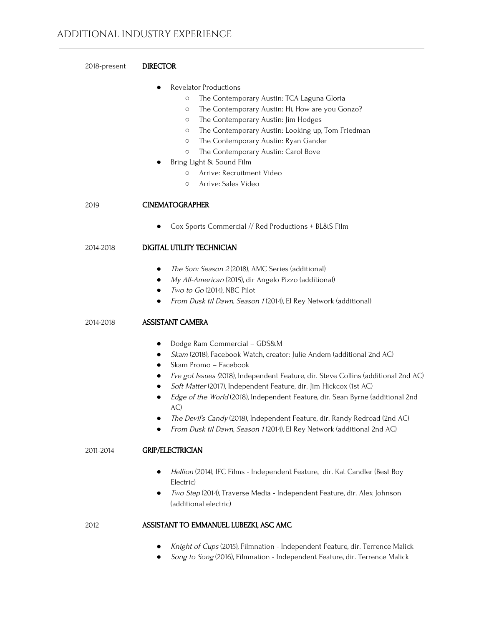| 2018-present | <b>DIRECTOR</b>                                                                                                                                                                                                                                                                                                                                                                                                                                                                                                                                                                                        |
|--------------|--------------------------------------------------------------------------------------------------------------------------------------------------------------------------------------------------------------------------------------------------------------------------------------------------------------------------------------------------------------------------------------------------------------------------------------------------------------------------------------------------------------------------------------------------------------------------------------------------------|
|              | Revelator Productions<br>$\bullet$<br>The Contemporary Austin: TCA Laguna Gloria<br>$\circ$<br>The Contemporary Austin: Hi, How are you Gonzo?<br>$\circ$<br>The Contemporary Austin: Jim Hodges<br>$\circ$<br>The Contemporary Austin: Looking up, Tom Friedman<br>$\circ$<br>The Contemporary Austin: Ryan Gander<br>$\circ$<br>The Contemporary Austin: Carol Bove<br>$\circ$<br>Bring Light & Sound Film<br>Arrive: Recruitment Video<br>$\circ$<br>Arrive: Sales Video<br>$\circ$                                                                                                                 |
| 2019         | <b>CINEMATOGRAPHER</b>                                                                                                                                                                                                                                                                                                                                                                                                                                                                                                                                                                                 |
|              | Cox Sports Commercial // Red Productions + BL&S Film                                                                                                                                                                                                                                                                                                                                                                                                                                                                                                                                                   |
| 2014-2018    | DIGITAL UTILITY TECHNICIAN                                                                                                                                                                                                                                                                                                                                                                                                                                                                                                                                                                             |
|              | The Son: Season 2 (2018), AMC Series (additional)<br>$\bullet$<br>My All-American (2015), dir Angelo Pizzo (additional)<br>$\bullet$<br>Two to Go (2014), NBC Pilot<br>$\bullet$<br>From Dusk til Dawn, Season 1 (2014), El Rey Network (additional)<br>$\bullet$                                                                                                                                                                                                                                                                                                                                      |
| 2014-2018    | <b>ASSISTANT CAMERA</b>                                                                                                                                                                                                                                                                                                                                                                                                                                                                                                                                                                                |
|              | Dodge Ram Commercial - GDS&M<br>٠<br>Skam (2018), Facebook Watch, creator: Julie Andem (additional 2nd AC)<br>$\bullet$<br>Skam Promo - Facebook<br>$\bullet$<br>I've got Issues (2018), Independent Feature, dir. Steve Collins (additional 2nd AC)<br>$\bullet$<br>Soft Matter (2017), Independent Feature, dir. Jim Hickcox (1st AC)<br>Edge of the World (2018), Independent Feature, dir. Sean Byrne (additional 2nd<br>$\bullet$<br>AC)<br>The Devil's Candy (2018), Independent Feature, dir. Randy Redroad (2nd AC)<br>From Dusk til Dawn, Season 1 (2014), El Rey Network (additional 2nd AC) |
| 2011-2014    | <b>GRIP/ELECTRICIAN</b>                                                                                                                                                                                                                                                                                                                                                                                                                                                                                                                                                                                |
|              | Hellion (2014), IFC Films - Independent Feature, dir. Kat Candler (Best Boy<br>$\bullet$<br>Electric)<br>Two Step (2014), Traverse Media - Independent Feature, dir. Alex Johnson<br>(additional electric)                                                                                                                                                                                                                                                                                                                                                                                             |
| 2012         | ASSISTANT TO EMMANUEL LUBEZKI, ASC AMC                                                                                                                                                                                                                                                                                                                                                                                                                                                                                                                                                                 |
|              | Knight of Cups (2015), Filmnation - Independent Feature, dir. Terrence Malick<br>Song to Song (2016), Filmnation - Independent Feature, dir. Terrence Malick                                                                                                                                                                                                                                                                                                                                                                                                                                           |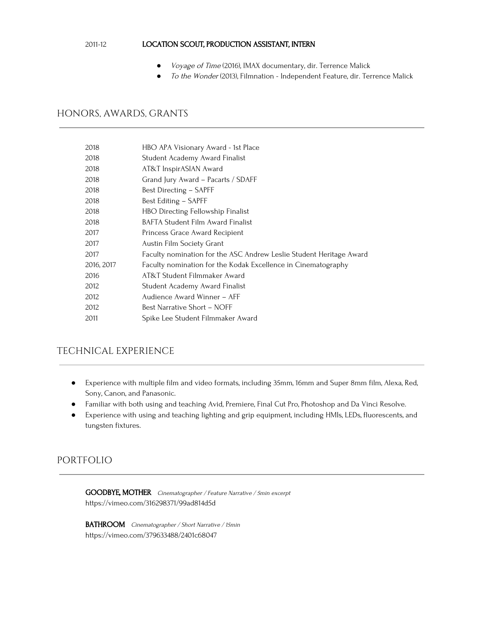# 2011-12 LOCATION SCOUT, PRODUCTION ASSISTANT, INTERN

- Voyage of Time (2016), IMAX documentary, dir. Terrence Malick
- To the Wonder (2013), Filmnation Independent Feature, dir. Terrence Malick

# HONORS, AWARDS, GRANTS

| 2018       | HBO APA Visionary Award - 1st Place                                 |
|------------|---------------------------------------------------------------------|
| 2018       | Student Academy Award Finalist                                      |
| 2018       | AT&T InspirASIAN Award                                              |
| 2018       | Grand Jury Award - Pacarts / SDAFF                                  |
| 2018       | Best Directing – SAPFF                                              |
| 2018       | Best Editing - SAPFF                                                |
| 2018       | HBO Directing Fellowship Finalist                                   |
| 2018       | BAFTA Student Film Award Finalist                                   |
| 2017       | Princess Grace Award Recipient                                      |
| 2017       | Austin Film Society Grant                                           |
| 2017       | Faculty nomination for the ASC Andrew Leslie Student Heritage Award |
| 2016, 2017 | Faculty nomination for the Kodak Excellence in Cinematography       |
| 2016       | AT&T Student Filmmaker Award                                        |
| 2012       | Student Academy Award Finalist                                      |
| 2012       | Audience Award Winner - AFF                                         |
| 2012       | Best Narrative Short – NOFF                                         |
| 2011       | Spike Lee Student Filmmaker Award                                   |

# TECHNICAL EXPERIENCE

- Experience with multiple film and video formats, including 35mm, 16mm and Super 8mm film, Alexa, Red, Sony, Canon, and Panasonic.
- Familiar with both using and teaching Avid, Premiere, Final Cut Pro, Photoshop and Da Vinci Resolve.
- Experience with using and teaching lighting and grip equipment, including HMIs, LEDs, fluorescents, and tungsten fixtures.

# PORTFOLIO

GOODBYE, MOTHER Cinematographer / Feature Narrative / 5min excerpt https://vimeo.com/316298371/99ad814d5d

BATHROOM Cinematographer / Short Narrative / 15min https://vimeo.com/379633488/2401c68047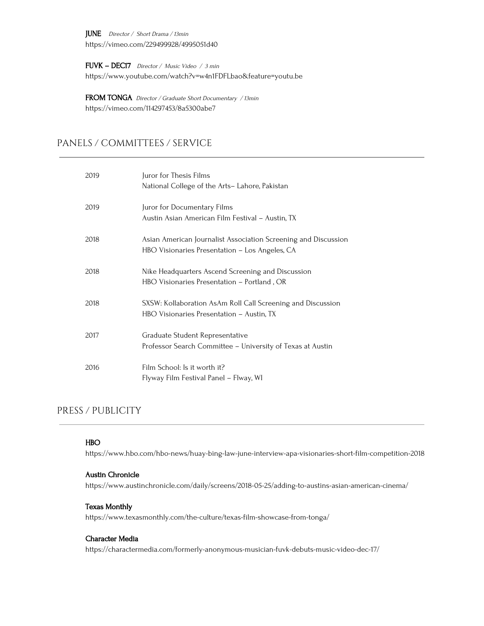JUNE Director / Short Drama / 13min https://vimeo.com/229499928/4995051d40

FUVK – DEC17 Director / Music Video / <sup>3</sup> min https://www.youtube.com/watch?v=w4n1FDFLbao&feature=youtu.be

FROM TONGA Director / Graduate Short Documentary / 13min https://vimeo.com/114297453/8a5300abe7

# PANELS / COMMITTEES / SERVICE

| 2019 | Juror for Thesis Films<br>National College of the Arts-Lahore, Pakistan                                          |
|------|------------------------------------------------------------------------------------------------------------------|
| 2019 | Juror for Documentary Films<br>Austin Asian American Film Festival - Austin, TX                                  |
| 2018 | Asian American Journalist Association Screening and Discussion<br>HBO Visionaries Presentation – Los Angeles, CA |
| 2018 | Nike Headquarters Ascend Screening and Discussion<br>HBO Visionaries Presentation - Portland, OR                 |
| 2018 | SXSW: Kollaboration AsAm Roll Call Screening and Discussion<br>HBO Visionaries Presentation – Austin, TX         |
| 2017 | Graduate Student Representative<br>Professor Search Committee - University of Texas at Austin                    |
| 2016 | Film School: Is it worth it?<br>Flyway Film Festival Panel – Flway, WI                                           |

# PRESS / PUBLICITY

# HBO

https://www.hbo.com/hbo-news/huay-bing-law-june-interview-apa-visionaries-short-film-competition-2018

# Austin Chronicle

https://www.austinchronicle.com/daily/screens/2018-05-25/adding-to-austins-asian-american-cinema/

# Texas Monthly

https://www.texasmonthly.com/the-culture/texas-film-showcase-from-tonga/

## Character Media

https://charactermedia.com/formerly-anonymous-musician-fuvk-debuts-music-video-dec-17/